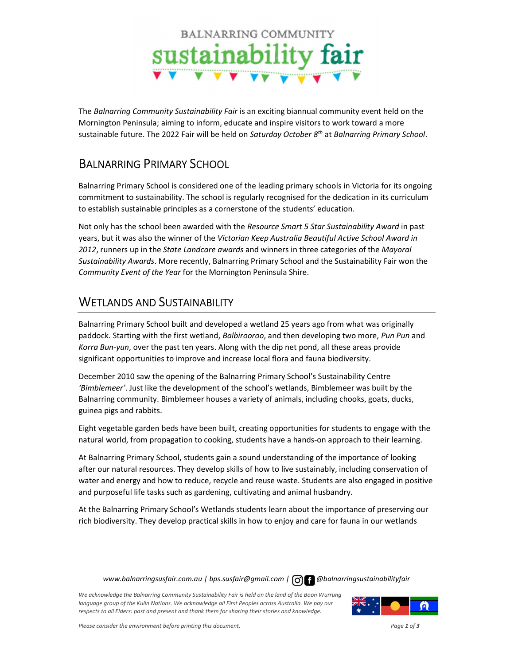

The Balnarring Community Sustainability Fair is an exciting biannual community event held on the Mornington Peninsula; aiming to inform, educate and inspire visitors to work toward a more sustainable future. The 2022 Fair will be held on Saturday October 8<sup>th</sup> at Balnarring Primary School.

## BALNARRING PRIMARY SCHOOL

Balnarring Primary School is considered one of the leading primary schools in Victoria for its ongoing commitment to sustainability. The school is regularly recognised for the dedication in its curriculum to establish sustainable principles as a cornerstone of the students' education.

Not only has the school been awarded with the Resource Smart 5 Star Sustainability Award in past years, but it was also the winner of the Victorian Keep Australia Beautiful Active School Award in 2012, runners up in the State Landcare awards and winners in three categories of the Mayoral Sustainability Awards. More recently, Balnarring Primary School and the Sustainability Fair won the Community Event of the Year for the Mornington Peninsula Shire.

## WETLANDS AND SUSTAINABILITY

Balnarring Primary School built and developed a wetland 25 years ago from what was originally paddock. Starting with the first wetland, Balbirooroo, and then developing two more, Pun Pun and Korra Bun-yun, over the past ten years. Along with the dip net pond, all these areas provide significant opportunities to improve and increase local flora and fauna biodiversity.

December 2010 saw the opening of the Balnarring Primary School's Sustainability Centre 'Bimblemeer'. Just like the development of the school's wetlands, Bimblemeer was built by the Balnarring community. Bimblemeer houses a variety of animals, including chooks, goats, ducks, guinea pigs and rabbits.

Eight vegetable garden beds have been built, creating opportunities for students to engage with the natural world, from propagation to cooking, students have a hands-on approach to their learning.

At Balnarring Primary School, students gain a sound understanding of the importance of looking after our natural resources. They develop skills of how to live sustainably, including conservation of water and energy and how to reduce, recycle and reuse waste. Students are also engaged in positive and purposeful life tasks such as gardening, cultivating and animal husbandry.

At the Balnarring Primary School's Wetlands students learn about the importance of preserving our rich biodiversity. They develop practical skills in how to enjoy and care for fauna in our wetlands

www.balnarringsusfair.com.au | bps.susfair@gmail.com |  $\bigcap$  |  $\bigcap$  @balnarringsustainabilityfair

We acknowledge the Balnarring Community Sustainability Fair is held on the land of the Boon Wurrung language group of the Kulin Nations. We acknowledge all First Peoples across Australia. We pay our respects to all Elders: past and present and thank them for sharing their stories and knowledge.

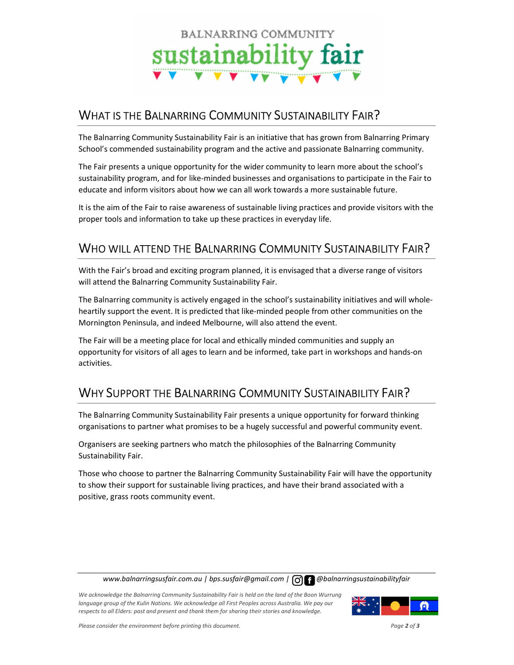# BALNARRING COMMUNITY sustainability fair

### WHAT IS THE BALNARRING COMMUNITY SUSTAINABILITY FAIR?

The Balnarring Community Sustainability Fair is an initiative that has grown from Balnarring Primary School's commended sustainability program and the active and passionate Balnarring community.

The Fair presents a unique opportunity for the wider community to learn more about the school's sustainability program, and for like-minded businesses and organisations to participate in the Fair to educate and inform visitors about how we can all work towards a more sustainable future.

It is the aim of the Fair to raise awareness of sustainable living practices and provide visitors with the proper tools and information to take up these practices in everyday life.

## WHO WILL ATTEND THE BALNARRING COMMUNITY SUSTAINABILITY FAIR?

With the Fair's broad and exciting program planned, it is envisaged that a diverse range of visitors will attend the Balnarring Community Sustainability Fair.

The Balnarring community is actively engaged in the school's sustainability initiatives and will wholeheartily support the event. It is predicted that like-minded people from other communities on the Mornington Peninsula, and indeed Melbourne, will also attend the event.

The Fair will be a meeting place for local and ethically minded communities and supply an opportunity for visitors of all ages to learn and be informed, take part in workshops and hands-on activities.

## WHY SUPPORT THE BALNARRING COMMUNITY SUSTAINABILITY FAIR?

The Balnarring Community Sustainability Fair presents a unique opportunity for forward thinking organisations to partner what promises to be a hugely successful and powerful community event.

Organisers are seeking partners who match the philosophies of the Balnarring Community Sustainability Fair.

Those who choose to partner the Balnarring Community Sustainability Fair will have the opportunity to show their support for sustainable living practices, and have their brand associated with a positive, grass roots community event.

www.balnarringsusfair.com.au | bps.susfair@gmail.com |  $\bigcap$  |  $\bigcap$  @balnarringsustainabilityfair

We acknowledge the Balnarring Community Sustainability Fair is held on the land of the Boon Wurrung language group of the Kulin Nations. We acknowledge all First Peoples across Australia. We pay our respects to all Elders: past and present and thank them for sharing their stories and knowledge.